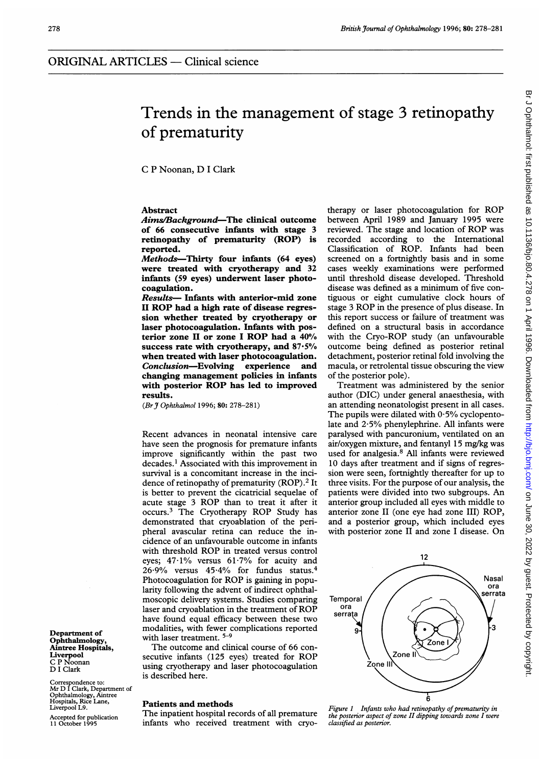# Trends in the management of stage 3 retinopathy of prematurity

C P Noonan, D <sup>I</sup> Clark

## Abstract

Aims/Background-The clinical outcome of 66 consecutive infants with stage 3 retinopathy of prematurity (ROP) is reported.

Methods-Thirty four infants (64 eyes) were treated with cryotherapy and 32 infants (59 eyes) underwent laser photocoagulation.

Results- Infants with anterior-mid zone II ROP had <sup>a</sup> high rate of disease regression whether treated by cryotherapy or laser photocoagulation. Infants with posterior zone II or zone I ROP had a  $40\%$ success rate with cryotherapy, and  $87.5\%$ when treated with laser photocoagulation. Conclusion-Evolving experience and changing management policies in infants with posterior ROP has led to improved results.

(Br J Ophthalmol 1996; 80: 278-281)

Recent advances in neonatal intensive care have seen the prognosis for premature infants improve significantly within the past two decades.' Associated with this improvement in survival is a concomitant increase in the incidence of retinopathy of prematurity (ROP).<sup>2</sup> It is better to prevent the cicatricial sequelae of acute stage <sup>3</sup> ROP than to treat it after it occurs.3 The Cryotherapy ROP Study has demonstrated that cryoablation of the peripheral avascular retina can reduce the incidence of an unfavourable outcome in infants with threshold ROP in treated versus control eyes; 47-1% versus 61.7% for acuity and 26-9% versus 45 4% for fundus status.4 Photocoagulation for ROP is gaining in popularity following the advent of indirect ophthalmoscopic delivery systems. Studies comparing laser and cryoablation in the treatment of ROP have found equal efficacy between these two modalities, with fewer complications reported with laser treatment. 5-9

The outcome and clinical course of 66 consecutive infants (125 eyes) treated for ROP using cryotherapy and laser photocoagulation is described here.

### Patients and methods

The inpatient hospital records of all premature infants who received treatment with cryotherapy or laser photocoagulation for ROP between April 1989 and January 1995 were reviewed. The stage and location of ROP was recorded according to the International Classification of ROP. Infants had been screened on a fortnightly basis and in some cases weekly examinations were performed until threshold disease developed. Threshold disease was defined as a minimum of five contiguous or eight cumulative clock hours of stage <sup>3</sup> ROP in the presence of plus disease. In this report success or failure of treatment was defined on a structural basis in accordance with the Cryo-ROP study (an unfavourable outcome being defined as posterior retinal detachment, posterior retinal fold involving the macula, or retrolental tissue obscuring the view of the posterior pole).

Treatment was administered by the senior author (DIC) under general anaesthesia, with an attending neonatologist present in all cases. The pupils were dilated with  $0.5\%$  cyclopentolate and  $2.5%$  phenylephrine. All infants were paralysed with pancuronium, ventilated on an air/oxygen mixture, and fentanyl 15 mg/kg was used for analgesia.<sup>8</sup> All infants were reviewed 10 days after treatment and if signs of regression were seen, fortnightly thereafter for up to three visits. For the purpose of our analysis, the patients were divided into two subgroups. An anterior group included all eyes with middle to anterior zone II (one eye had zone III) ROP, and a posterior group, which included eyes with posterior zone II and zone <sup>I</sup> disease. On



Figure 1 Infants who had retinopathy of prematurity in the posterior aspect of zone II dipping towards zone I were classified as posterior.

Department of Ophthalmology, Aintree Hospitals, Liverpool C P Noonan D <sup>I</sup> Clark

Correspondence to: Mr D <sup>I</sup> Clark, Department of Ophthalmology, Aintree Hospitals, Rice Lane, Liverpool L9.

Accepted for publication 11 October 1995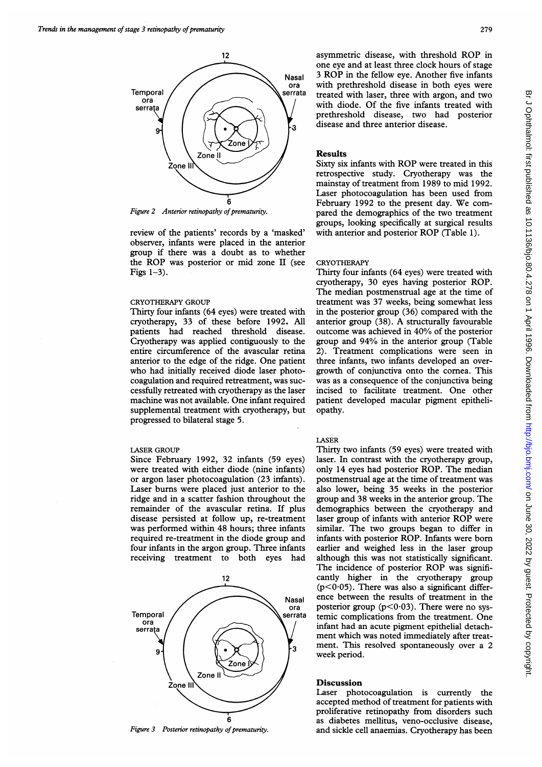

Figure 2 Anterior retinopathy of prematurity.

review of the patients' records by a 'masked' observer, infants were placed in the anterior group if there was a doubt as to whether the ROP was posterior or mid zone II (see Figs  $1-3$ ).

### CRYOTHERAPY GROUP

Thirty four infants (64 eyes) were treated with cryotherapy, 33 of these before 1992. All patients had reached threshold disease. Cryotherapy was applied contiguously to the entire circumference of the avascular retina anterior to the edge of the ridge. One patient who had initially received diode laser photocoagulation and required retreatment, was successfully retreated with cryotherapy as the laser machine was not available. One infant required supplemental treatment with cryotherapy, but progressed to bilateral stage 5.

## LASER GROUP

Since February 1992, 32 infants (59 eyes) were treated with either diode (nine infants) or argon laser photocoagulation (23 infants). Laser burns were placed just anterior to the ridge and in a scatter fashion throughout the remainder of the avascular retina. If plus disease persisted at follow up, re-treatment was performed within 48 hours; three infants required re-treatment in the diode group and four infants in the argon group. Three infants receiving treatment to both eyes had



Figure 3 Posterior retinopathy of prematurity.

asymmetric disease, with threshold ROP in one eye and at least three clock hours of stage <sup>3</sup> ROP in the fellow eye. Another five infants with prethreshold disease in both eyes were treated with laser, three with argon, and two with diode. Of the five infants treated with prethreshold disease, two had posterior disease and three anterior disease.

## Results

Sixty six infants with ROP were treated in this retrospective study. Cryotherapy was the mainstay of treatment from 1989 to mid 1992. Laser photocoagulation has been used from February 1992 to the present day. We compared the demographics of the two treatment groups, looking specifically at surgical results with anterior and posterior ROP (Table 1).

#### **CRYOTHERAPY**

Thirty four infants (64 eyes) were treated with cryotherapy, 30 eyes having posterior ROP. The median postmenstrual age at the time of treatment was 37 weeks, being somewhat less in the posterior group (36) compared with the anterior group (38). A structurally favourable outcome was achieved in 40% of the posterior group and 94% in the anterior group (Table 2). Treatment complications were seen in three infants, two infants developed an overgrowth of conjunctiva onto the cornea. This was as a consequence of the conjunctiva being incised to facilitate treatment. One other patient developed macular pigment epitheliopathy.

### LASER

Thirty two infants (59 eyes) were treated with laser. In contrast with the cryotherapy group, only <sup>14</sup> eyes had posterior ROP. The median postmenstrual age at the time of treatment was also lower, being 35 weeks in the posterior group and 38 weeks in the anterior group. The demographics between the cryotherapy and laser group of infants with anterior ROP were similar. The two groups began to differ in infants with posterior ROP. Infants were born earlier and weighed less in the laser group although this was not statistically significant. The incidence of posterior ROP was significantly higher in the cryotherapy group  $(p<0.05)$ . There was also a significant difference between the results of treatment in the posterior group ( $p < 0.03$ ). There were no systemic complications from the treatment. One infant had an acute pigment epithelial detachment which was noted immediately after treatment. This resolved spontaneously over a 2 week period.

## **Discussion**

Laser photocoagulation is currently the accepted method of treatment for patients with proliferative retinopathy from disorders such as diabetes mellitus, veno-occlusive disease, and sickle cell anaemias. Cryotherapy has been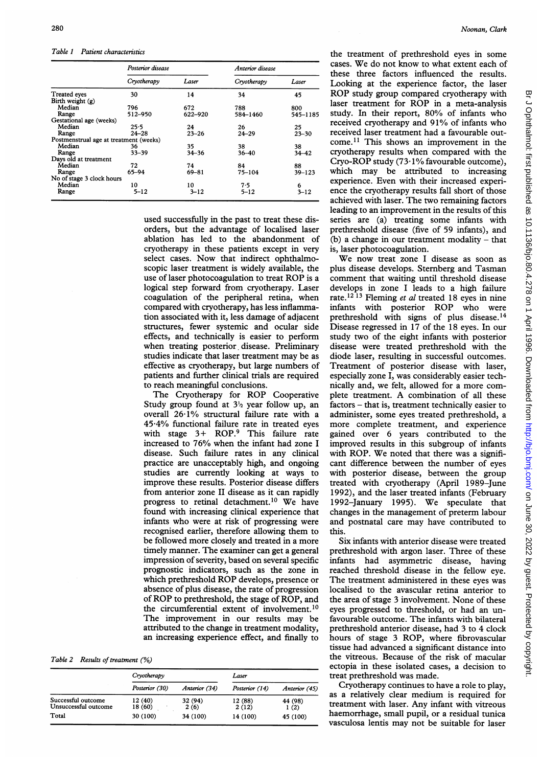Table 1 Patient characteristics

|                                        | Posterior disease |           | Anterior disease |            |
|----------------------------------------|-------------------|-----------|------------------|------------|
|                                        | Cryotherapy       | Laser     | Cryotherapy      | Laser      |
| <b>Treated eyes</b>                    | 30                | 14        | 34               | 45         |
| Birth weight $(g)$                     |                   |           |                  |            |
| Median                                 | 796               | 672       | 788              | 800        |
| Range                                  | 512-950           | 622-920   | 584-1460         | 545-1185   |
| Gestational age (weeks)                |                   |           |                  |            |
| Median                                 | 25.5              | 24        | 26               | 25         |
| Range                                  | $24 - 28$         | $23 - 26$ | $24 - 29$        | $23 - 30$  |
| Postmenstrual age at treatment (weeks) |                   |           |                  |            |
| Median                                 | 36                | 35        | 38               | 38         |
| Range                                  | $33 - 39$         | $34 - 36$ | $36 - 40$        | $34 - 42$  |
| Days old at treatment                  |                   |           |                  |            |
| Median                                 | 72                | 74        | 84               | 88         |
| Range                                  | 65-94             | $69 - 81$ | $75 - 104$       | $39 - 123$ |
| No of stage 3 clock hours              |                   |           |                  |            |
| Median                                 | 10                | 10        | 7.5              | 6          |
| Range                                  | $5 - 12$          | $3 - 12$  | $5 - 12$         | 3–12       |

used successfully in the past to treat these disorders, but the advantage of localised laser ablation has led to the abandonment of cryotherapy in these patients except in very select cases. Now that indirect ophthalmoscopic laser treatment is widely available, the use of laser photocoagulation to treat ROP is <sup>a</sup> logical step forward from cryotherapy. Laser coagulation of the peripheral retina, when compared with cryotherapy, has less inflammation associated with it, less damage of adjacent structures, fewer systemic and ocular side effects, and technically is easier to perform when treating posterior disease. Preliminary studies indicate that laser treatment may be as effective as cryotherapy, but large numbers of patients and further clinical trials are required to reach meaningful conclusions.

The Cryotherapy for ROP Cooperative Study group found at  $3<sup>1</sup>$ <sub>2</sub> year follow up, an overall 26.1% structural failure rate with a 45 4% functional failure rate in treated eyes with stage  $3+$  ROP.<sup>9</sup> This failure rate increased to 76% when the infant had zone <sup>I</sup> disease. Such failure rates in any clinical practice are unacceptably high, and ongoing studies are currently looking at ways to improve these results. Posterior disease differs from anterior zone II disease as it can rapidly progress to retinal detachment.10 We have found with increasing clinical experience that infants who were at risk of progressing were recognised earlier, therefore allowing them to be followed more closely and treated in a more timely manner. The examiner can get a general impression of severity, based on several specific prognostic indicators, such as the zone in which prethreshold ROP develops, presence or absence of plus disease, the rate of progression of ROP to prethreshold, the stage of ROP, and the circumferential extent of involvement.<sup>10</sup> The improvement in our results may be attributed to the change in treatment modality, an increasing experience effect, and finally to

Table 2 Results of treatment (%)

|                                            | Cryotherapy        |                 | Laser            |                 |
|--------------------------------------------|--------------------|-----------------|------------------|-----------------|
|                                            | Posterior (30)     | Anterior (34)   | Posterior (14)   | Anterior (45)   |
| Successful outcome<br>Unsuccessful outcome | 12 (40)<br>18 (60) | 32 (94)<br>2(6) | 12 (88)<br>2(12) | 44 (98)<br>1(2) |
| Total                                      | 30 (100)           | 34 (100)        | 14 (100)         | 45 (100)        |

the treatment of prethreshold eyes in some cases. We do not know to what extent each of these three factors influenced the results. Looking at the experience factor, the laser ROP study group compared cryotherapy with laser treatment for ROP in <sup>a</sup> meta-analysis study. In their report, 80% of infants who received cryotherapy and 91% of infants who received laser treatment had a favourable outcome.11 This shows an improvement in the cryotherapy results when compared with the Cryo-ROP study (73.1% favourable outcome), which may be attributed to increasing experience. Even with their increased experience the cryotherapy results fall short of those achieved with laser. The two remaining factors leading to an improvement in the results of this series are (a) treating some infants with prethreshold disease (five of 59 infants), and (b) a change in our treatment modality  $-$  that is, laser photocoagulation.

We now treat zone <sup>I</sup> disease as soon as plus disease develops. Sternberg and Tasman comment that waiting until threshold disease develops in zone <sup>I</sup> leads to a high failure rate.<sup>12 13</sup> Fleming et al treated 18 eyes in nine infants with posterior ROP who were prethreshold with signs of plus disease.<sup>14</sup> Disease regressed in 17 of the 18 eyes. In our study two of the eight infants with posterior disease were treated prethreshold with the diode laser, resulting in successful outcomes. Treatment of posterior disease with laser, especially zone I, was considerably easier technically and, we felt, allowed for a more complete treatment. A combination of all these factors - that is, treatment technically easier to administer, some eyes treated prethreshold, a more complete treatment, and experience gained over 6 years contributed to the improved results in this subgroup of infants with ROP. We noted that there was <sup>a</sup> significant difference between the number of eyes with posterior disease, between the group treated with cryotherapy (April 1989-June 1992), and the laser treated infants (February 1992-January 1995). We speculate that changes in the management of preterm labour and postnatal care may have contributed to this.

Six infants with anterior disease were treated prethreshold with argon laser. Three of these infants had asymmetric disease, having reached threshold disease in the fellow eye. The treatment administered in these eyes was localised to the avascular retina anterior to the area of stage 3 involvement. None of these eyes progressed to threshold, or had an unfavourable outcome. The infants with bilateral prethreshold anterior disease, had 3 to 4 clock hours of stage 3 ROP, where fibrovascular tissue had advanced a significant distance into the vitreous. Because of the risk of macular ectopia in these isolated cases, a decision to treat prethreshold was made.

Cryotherapy continues to have a role to play, as a relatively clear medium is required for treatment with laser. Any infant with vitreous haemorrhage, small pupil, or a residual tunica vasculosa lentis may not be suitable for laser